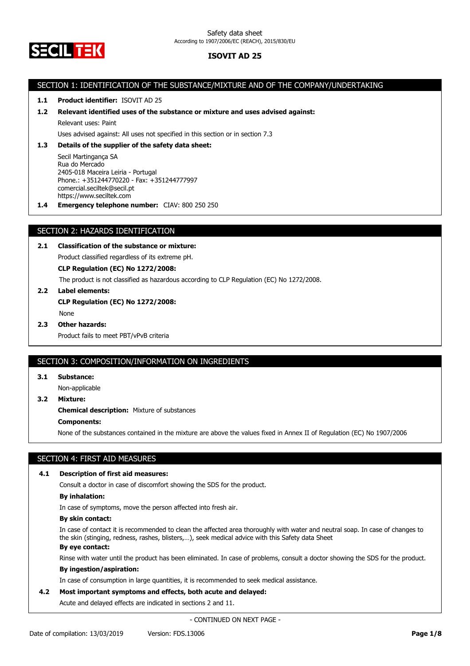

# SECTION 1: IDENTIFICATION OF THE SUBSTANCE/MIXTURE AND OF THE COMPANY/UNDERTAKING

# **1.1 Product identifier:** ISOVIT AD 25

### **1.2 Relevant identified uses of the substance or mixture and uses advised against:**

Relevant uses: Paint

Uses advised against: All uses not specified in this section or in section 7.3

## **1.3 Details of the supplier of the safety data sheet:**

Secil Martingança SA Rua do Mercado 2405-018 Maceira Leiria - Portugal Phone.: +351244770220 - Fax: +351244777997 comercial.seciltek@secil.pt https://www.seciltek.com

**1.4 Emergency telephone number:** CIAV: 800 250 250

# SECTION 2: HAZARDS IDENTIFICATION

# **2.1 Classification of the substance or mixture:**

Product classified regardless of its extreme pH.

**CLP Regulation (EC) No 1272/2008:**

The product is not classified as hazardous according to CLP Regulation (EC) No 1272/2008.

**2.2 Label elements: CLP Regulation (EC) No 1272/2008:** None

## **2.3 Other hazards:**

Product fails to meet PBT/vPvB criteria

## SECTION 3: COMPOSITION/INFORMATION ON INGREDIENTS

#### **3.1 Substance:**

Non-applicable

**3.2 Mixture:**

**Chemical description:** Mixture of substances

## **Components:**

None of the substances contained in the mixture are above the values fixed in Annex II of Regulation (EC) No 1907/2006

# SECTION 4: FIRST AID MEASURES

### **4.1 Description of first aid measures:**

Consult a doctor in case of discomfort showing the SDS for the product.

### **By inhalation:**

In case of symptoms, move the person affected into fresh air.

#### **By skin contact:**

In case of contact it is recommended to clean the affected area thoroughly with water and neutral soap. In case of changes to the skin (stinging, redness, rashes, blisters,…), seek medical advice with this Safety data Sheet

# **By eye contact:**

Rinse with water until the product has been eliminated. In case of problems, consult a doctor showing the SDS for the product.

## **By ingestion/aspiration:**

In case of consumption in large quantities, it is recommended to seek medical assistance.

### **4.2 Most important symptoms and effects, both acute and delayed:**

Acute and delayed effects are indicated in sections 2 and 11.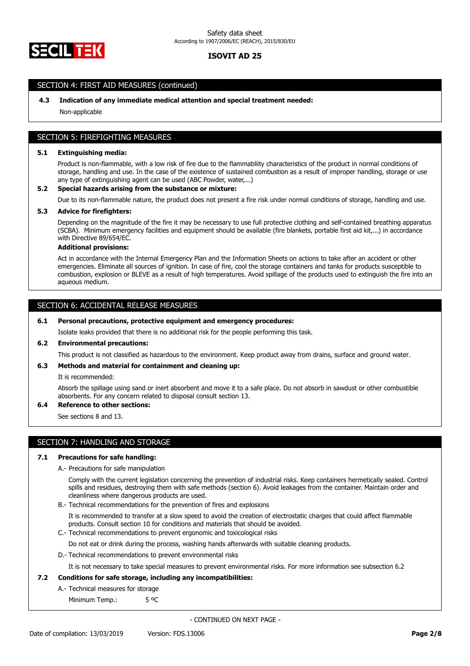

# SECTION 4: FIRST AID MEASURES (continued)

### **4.3 Indication of any immediate medical attention and special treatment needed:**

Non-applicable

# SECTION 5: FIREFIGHTING MEASURES

### **5.1 Extinguishing media:**

Product is non-flammable, with a low risk of fire due to the flammabliity characteristics of the product in normal conditions of storage, handling and use. In the case of the existence of sustained combustion as a result of improper handling, storage or use any type of extinguishing agent can be used (ABC Powder, water,...)

### **5.2 Special hazards arising from the substance or mixture:**

Due to its non-flammable nature, the product does not present a fire risk under normal conditions of storage, handling and use.

### **5.3 Advice for firefighters:**

Depending on the magnitude of the fire it may be necessary to use full protective clothing and self-contained breathing apparatus (SCBA). Minimum emergency facilities and equipment should be available (fire blankets, portable first aid kit,...) in accordance with Directive 89/654/EC.

#### **Additional provisions:**

Act in accordance with the Internal Emergency Plan and the Information Sheets on actions to take after an accident or other emergencies. Eliminate all sources of ignition. In case of fire, cool the storage containers and tanks for products susceptible to combustion, explosion or BLEVE as a result of high temperatures. Avoid spillage of the products used to extinguish the fire into an aqueous medium.

# SECTION 6: ACCIDENTAL RELEASE MEASURES

### **6.1 Personal precautions, protective equipment and emergency procedures:**

Isolate leaks provided that there is no additional risk for the people performing this task.

### **6.2 Environmental precautions:**

This product is not classified as hazardous to the environment. Keep product away from drains, surface and ground water.

#### **6.3 Methods and material for containment and cleaning up:**

It is recommended:

Absorb the spillage using sand or inert absorbent and move it to a safe place. Do not absorb in sawdust or other combustible absorbents. For any concern related to disposal consult section 13.

## **6.4 Reference to other sections:**

See sections 8 and 13.

# SECTION 7: HANDLING AND STORAGE

#### **7.1 Precautions for safe handling:**

A.- Precautions for safe manipulation

Comply with the current legislation concerning the prevention of industrial risks. Keep containers hermetically sealed. Control spills and residues, destroying them with safe methods (section 6). Avoid leakages from the container. Maintain order and cleanliness where dangerous products are used.

B.- Technical recommendations for the prevention of fires and explosions

It is recommended to transfer at a slow speed to avoid the creation of electrostatic charges that could affect flammable products. Consult section 10 for conditions and materials that should be avoided.

C.- Technical recommendations to prevent ergonomic and toxicological risks

Do not eat or drink during the process, washing hands afterwards with suitable cleaning products.

D.- Technical recommendations to prevent environmental risks

It is not necessary to take special measures to prevent environmental risks. For more information see subsection 6.2

## **7.2 Conditions for safe storage, including any incompatibilities:**

A.- Technical measures for storage

Minimum Temp.: 5 °C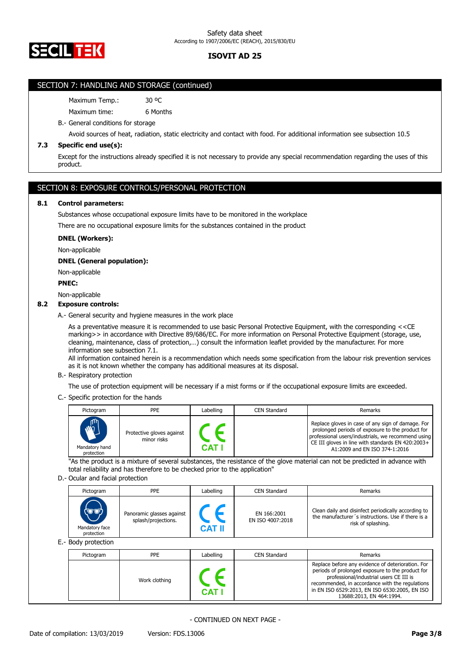

# SECTION 7: HANDLING AND STORAGE (continued)

Maximum Temp.: 30 °C

Maximum time: 6 Months

B.- General conditions for storage

Avoid sources of heat, radiation, static electricity and contact with food. For additional information see subsection 10.5

# **7.3 Specific end use(s):**

Except for the instructions already specified it is not necessary to provide any special recommendation regarding the uses of this product.

# SECTION 8: EXPOSURE CONTROLS/PERSONAL PROTECTION

### **8.1 Control parameters:**

Substances whose occupational exposure limits have to be monitored in the workplace

There are no occupational exposure limits for the substances contained in the product

## **DNEL (Workers):**

Non-applicable

## **DNEL (General population):**

Non-applicable

### **PNEC:**

Non-applicable

## **8.2 Exposure controls:**

A.- General security and hygiene measures in the work place

As a preventative measure it is recommended to use basic Personal Protective Equipment, with the corresponding <<CE marking>> in accordance with Directive 89/686/EC. For more information on Personal Protective Equipment (storage, use, cleaning, maintenance, class of protection,…) consult the information leaflet provided by the manufacturer. For more information see subsection 7.1.

All information contained herein is a recommendation which needs some specification from the labour risk prevention services as it is not known whether the company has additional measures at its disposal.

B.- Respiratory protection

The use of protection equipment will be necessary if a mist forms or if the occupational exposure limits are exceeded.

C.- Specific protection for the hands

| Pictogram                                   | <b>PPE</b>                               | Labelling | CEN Standard | Remarks                                                                                                                                                                                                                                           |
|---------------------------------------------|------------------------------------------|-----------|--------------|---------------------------------------------------------------------------------------------------------------------------------------------------------------------------------------------------------------------------------------------------|
| <b>ANTI</b><br>Mandatory hand<br>protection | Protective gloves against<br>minor risks | CAT       |              | Replace gloves in case of any sign of damage. For<br>prolonged periods of exposure to the product for<br>professional users/industrials, we recommend using<br>CE III gloves in line with standards EN 420:2003+<br>A1:2009 and EN ISO 374-1:2016 |

"As the product is a mixture of several substances, the resistance of the glove material can not be predicted in advance with total reliability and has therefore to be checked prior to the application"

#### D.- Ocular and facial protection

| Pictogram                                                     | <b>PPE</b>                                       | Labelling     | <b>CEN Standard</b>             | Remarks                                                                                                                         |
|---------------------------------------------------------------|--------------------------------------------------|---------------|---------------------------------|---------------------------------------------------------------------------------------------------------------------------------|
| $\langle \nabla \psi \rangle$<br>Mandatory face<br>protection | Panoramic glasses against<br>splash/projections. | <b>CAT II</b> | EN 166:2001<br>EN ISO 4007:2018 | Clean daily and disinfect periodically according to<br>the manufacturer's instructions. Use if there is a<br>risk of splashing. |
| E.- Body protection                                           |                                                  |               |                                 |                                                                                                                                 |

| Pictogram | PPE           | Labelling | CEN Standard | Remarks                                                                                                                                                                                                                                                                          |
|-----------|---------------|-----------|--------------|----------------------------------------------------------------------------------------------------------------------------------------------------------------------------------------------------------------------------------------------------------------------------------|
|           | Work clothing | CAT.      |              | Replace before any evidence of deterioration. For<br>periods of prolonged exposure to the product for<br>professional/industrial users CE III is<br>recommended, in accordance with the regulations<br>in EN ISO 6529:2013, EN ISO 6530:2005, EN ISO<br>13688:2013, EN 464:1994. |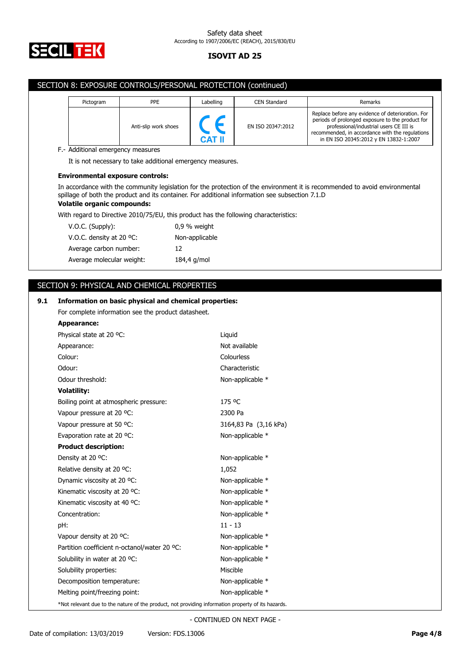

## Safety data sheet According to 1907/2006/EC (REACH), 2015/830/EU

# **ISOVIT AD 25**

|     |                    |                                    | SECTION 8: EXPOSURE CONTROLS/PERSONAL PROTECTION (continued)                                       |                |            |                                                                                                 |                                                                                                                                                                                                                |
|-----|--------------------|------------------------------------|----------------------------------------------------------------------------------------------------|----------------|------------|-------------------------------------------------------------------------------------------------|----------------------------------------------------------------------------------------------------------------------------------------------------------------------------------------------------------------|
|     |                    |                                    |                                                                                                    |                |            |                                                                                                 |                                                                                                                                                                                                                |
|     |                    | Pictogram                          | PPE<br>Anti-slip work shoes                                                                        | Labelling      |            | <b>CEN Standard</b><br>EN ISO 20347:2012                                                        | Remarks<br>Replace before any evidence of deterioration. For<br>periods of prolonged exposure to the product for<br>professional/industrial users CE III is<br>recommended, in accordance with the regulations |
|     |                    |                                    | F.- Additional emergency measures                                                                  | CAT II         |            |                                                                                                 | in EN ISO 20345:2012 y EN 13832-1:2007                                                                                                                                                                         |
|     |                    |                                    | It is not necessary to take additional emergency measures.                                         |                |            |                                                                                                 |                                                                                                                                                                                                                |
|     |                    |                                    |                                                                                                    |                |            |                                                                                                 |                                                                                                                                                                                                                |
|     |                    |                                    | <b>Environmental exposure controls:</b>                                                            |                |            |                                                                                                 |                                                                                                                                                                                                                |
|     |                    |                                    |                                                                                                    |                |            | spillage of both the product and its container. For additional information see subsection 7.1.D | In accordance with the community legislation for the protection of the environment it is recommended to avoid environmental                                                                                    |
|     |                    | <b>Volatile organic compounds:</b> |                                                                                                    |                |            |                                                                                                 |                                                                                                                                                                                                                |
|     |                    |                                    |                                                                                                    |                |            | With regard to Directive 2010/75/EU, this product has the following characteristics:            |                                                                                                                                                                                                                |
|     |                    | V.O.C. (Supply):                   |                                                                                                    | 0,9 % weight   |            |                                                                                                 |                                                                                                                                                                                                                |
|     |                    | V.O.C. density at 20 °C:           |                                                                                                    | Non-applicable |            |                                                                                                 |                                                                                                                                                                                                                |
|     |                    | Average carbon number:             |                                                                                                    | 12             |            |                                                                                                 |                                                                                                                                                                                                                |
|     |                    | Average molecular weight:          |                                                                                                    | 184,4 g/mol    |            |                                                                                                 |                                                                                                                                                                                                                |
|     |                    |                                    |                                                                                                    |                |            |                                                                                                 |                                                                                                                                                                                                                |
|     |                    |                                    | SECTION 9: PHYSICAL AND CHEMICAL PROPERTIES                                                        |                |            |                                                                                                 |                                                                                                                                                                                                                |
| 9.1 |                    |                                    | Information on basic physical and chemical properties:                                             |                |            |                                                                                                 |                                                                                                                                                                                                                |
|     |                    |                                    | For complete information see the product datasheet.                                                |                |            |                                                                                                 |                                                                                                                                                                                                                |
|     | Appearance:        |                                    |                                                                                                    |                |            |                                                                                                 |                                                                                                                                                                                                                |
|     |                    | Physical state at 20 °C:           |                                                                                                    |                | Liquid     |                                                                                                 |                                                                                                                                                                                                                |
|     | Appearance:        |                                    |                                                                                                    |                |            | Not available                                                                                   |                                                                                                                                                                                                                |
|     | Colour:            |                                    |                                                                                                    |                | Colourless |                                                                                                 |                                                                                                                                                                                                                |
|     | Odour:             |                                    |                                                                                                    |                |            | Characteristic                                                                                  |                                                                                                                                                                                                                |
|     |                    | Odour threshold:                   |                                                                                                    |                |            | Non-applicable *                                                                                |                                                                                                                                                                                                                |
|     | <b>Volatility:</b> |                                    |                                                                                                    |                |            |                                                                                                 |                                                                                                                                                                                                                |
|     |                    |                                    | Boiling point at atmospheric pressure:                                                             |                | 175 °C     |                                                                                                 |                                                                                                                                                                                                                |
|     |                    | Vapour pressure at 20 °C:          |                                                                                                    |                | 2300 Pa    |                                                                                                 |                                                                                                                                                                                                                |
|     |                    | Vapour pressure at 50 °C:          |                                                                                                    |                |            | 3164,83 Pa (3,16 kPa)                                                                           |                                                                                                                                                                                                                |
|     |                    | Evaporation rate at 20 °C:         |                                                                                                    |                |            | Non-applicable *                                                                                |                                                                                                                                                                                                                |
|     |                    | <b>Product description:</b>        |                                                                                                    |                |            |                                                                                                 |                                                                                                                                                                                                                |
|     |                    | Density at 20 °C:                  |                                                                                                    |                |            | Non-applicable *                                                                                |                                                                                                                                                                                                                |
|     |                    | Relative density at 20 °C:         |                                                                                                    |                | 1,052      |                                                                                                 |                                                                                                                                                                                                                |
|     |                    | Dynamic viscosity at 20 °C:        |                                                                                                    |                |            | Non-applicable *                                                                                |                                                                                                                                                                                                                |
|     |                    | Kinematic viscosity at 20 °C:      |                                                                                                    |                |            | Non-applicable *                                                                                |                                                                                                                                                                                                                |
|     |                    | Kinematic viscosity at 40 °C:      |                                                                                                    |                |            | Non-applicable *                                                                                |                                                                                                                                                                                                                |
|     | Concentration:     |                                    |                                                                                                    |                | $11 - 13$  | Non-applicable *                                                                                |                                                                                                                                                                                                                |
|     | pH:                | Vapour density at 20 °C:           |                                                                                                    |                |            | Non-applicable *                                                                                |                                                                                                                                                                                                                |
|     |                    |                                    | Partition coefficient n-octanol/water 20 °C:                                                       |                |            | Non-applicable *                                                                                |                                                                                                                                                                                                                |
|     |                    | Solubility in water at 20 °C:      |                                                                                                    |                |            | Non-applicable *                                                                                |                                                                                                                                                                                                                |
|     |                    | Solubility properties:             |                                                                                                    |                | Miscible   |                                                                                                 |                                                                                                                                                                                                                |
|     |                    | Decomposition temperature:         |                                                                                                    |                |            | Non-applicable *                                                                                |                                                                                                                                                                                                                |
|     |                    | Melting point/freezing point:      |                                                                                                    |                |            | Non-applicable *                                                                                |                                                                                                                                                                                                                |
|     |                    |                                    | *Not relevant due to the nature of the product, not providing information property of its hazards. |                |            |                                                                                                 |                                                                                                                                                                                                                |
|     |                    |                                    |                                                                                                    |                |            |                                                                                                 |                                                                                                                                                                                                                |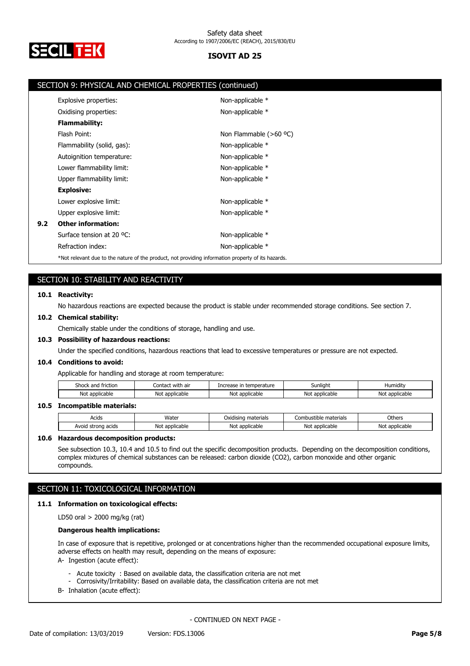

|     | SECTION 9: PHYSICAL AND CHEMICAL PROPERTIES (continued)                                            |                          |
|-----|----------------------------------------------------------------------------------------------------|--------------------------|
|     | Explosive properties:                                                                              | Non-applicable *         |
|     | Oxidising properties:                                                                              | Non-applicable *         |
|     | <b>Flammability:</b>                                                                               |                          |
|     | Flash Point:                                                                                       | Non Flammable $(>60$ °C) |
|     | Flammability (solid, gas):                                                                         | Non-applicable *         |
|     | Autoignition temperature:                                                                          | Non-applicable *         |
|     | Lower flammability limit:                                                                          | Non-applicable *         |
|     | Upper flammability limit:                                                                          | Non-applicable *         |
|     | <b>Explosive:</b>                                                                                  |                          |
|     | Lower explosive limit:                                                                             | Non-applicable *         |
|     | Upper explosive limit:                                                                             | Non-applicable *         |
| 9.2 | <b>Other information:</b>                                                                          |                          |
|     | Surface tension at 20 °C:                                                                          | Non-applicable *         |
|     | Refraction index:                                                                                  | Non-applicable *         |
|     | *Not relevant due to the nature of the product, not providing information property of its hazards. |                          |

# SECTION 10: STABILITY AND REACTIVITY

### **10.1 Reactivity:**

No hazardous reactions are expected because the product is stable under recommended storage conditions. See section 7.

### **10.2 Chemical stability:**

Chemically stable under the conditions of storage, handling and use.

# **10.3 Possibility of hazardous reactions:**

Under the specified conditions, hazardous reactions that lead to excessive temperatures or pressure are not expected.

### **10.4 Conditions to avoid:**

Applicable for handling and storage at room temperature:

| shoc'<br>friction<br>and | .<br>. with air<br>Contac | Increase<br>temperature | Sunlight                       | .<br>Humidity  |
|--------------------------|---------------------------|-------------------------|--------------------------------|----------------|
| No<br>applicable         | applicable<br>Noi         | Not<br>: applicable     | Not<br><sup>.</sup> applicable | Not applicable |
|                          |                           |                         |                                |                |

## **10.5 Incompatible materials:**

| Acids                 | Water                          | materials<br>Oxidisina | Combustible materials | Others                         |
|-----------------------|--------------------------------|------------------------|-----------------------|--------------------------------|
| strong acids<br>Avoid | applicable <sup>.</sup><br>Not | * applicable<br>Not    | Not applicable        | . annlicable<br>Noi<br>шлисаин |

### **10.6 Hazardous decomposition products:**

See subsection 10.3, 10.4 and 10.5 to find out the specific decomposition products. Depending on the decomposition conditions, complex mixtures of chemical substances can be released: carbon dioxide (CO2), carbon monoxide and other organic compounds.

# SECTION 11: TOXICOLOGICAL INFORMATION

### **11.1 Information on toxicological effects:**

LD50 oral > 2000 mg/kg (rat)

### **Dangerous health implications:**

In case of exposure that is repetitive, prolonged or at concentrations higher than the recommended occupational exposure limits, adverse effects on health may result, depending on the means of exposure:

- A- Ingestion (acute effect):
	- Acute toxicity : Based on available data, the classification criteria are not met
	- Corrosivity/Irritability: Based on available data, the classification criteria are not met
- B- Inhalation (acute effect):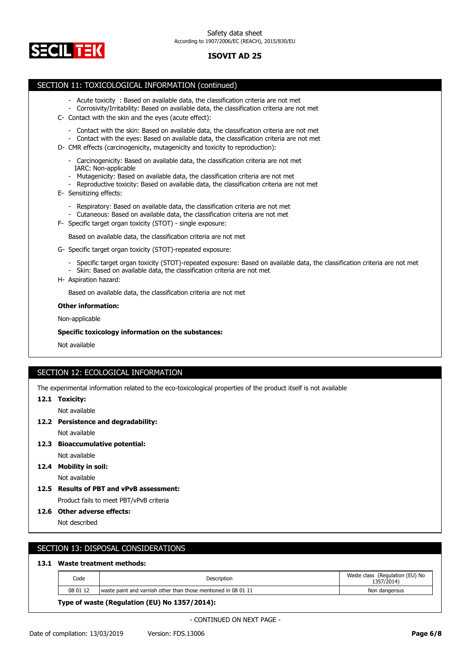

## SECTION 11: TOXICOLOGICAL INFORMATION (continued)

- Acute toxicity : Based on available data, the classification criteria are not met
- Corrosivity/Irritability: Based on available data, the classification criteria are not met
- C- Contact with the skin and the eyes (acute effect):
	- Contact with the skin: Based on available data, the classification criteria are not met
	- Contact with the eyes: Based on available data, the classification criteria are not met
- D- CMR effects (carcinogenicity, mutagenicity and toxicity to reproduction):
	- Carcinogenicity: Based on available data, the classification criteria are not met IARC: Non-applicable
	- Mutagenicity: Based on available data, the classification criteria are not met
	- Reproductive toxicity: Based on available data, the classification criteria are not met
- E- Sensitizing effects:
	- Respiratory: Based on available data, the classification criteria are not met
	- Cutaneous: Based on available data, the classification criteria are not met
- F- Specific target organ toxicity (STOT) single exposure:

Based on available data, the classification criteria are not met

- G- Specific target organ toxicity (STOT)-repeated exposure:
	- Specific target organ toxicity (STOT)-repeated exposure: Based on available data, the classification criteria are not met
	- Skin: Based on available data, the classification criteria are not met
- H- Aspiration hazard:

Based on available data, the classification criteria are not met

### **Other information:**

Non-applicable

### **Specific toxicology information on the substances:**

Not available

# SECTION 12: ECOLOGICAL INFORMATION

The experimental information related to the eco-toxicological properties of the product itself is not available

### **12.1 Toxicity:**

Not available

**12.2 Persistence and degradability:**

Not available

**12.3 Bioaccumulative potential:**

Not available

- **12.4 Mobility in soil:** Not available
- **12.5 Results of PBT and vPvB assessment:** Product fails to meet PBT/vPvB criteria

**12.6 Other adverse effects:**

Not described

# SECTION 13: DISPOSAL CONSIDERATIONS

### **13.1 Waste treatment methods:**

| Code     | Description                                                      | Waste class (Regulation (EU) No<br>1357/2014) |
|----------|------------------------------------------------------------------|-----------------------------------------------|
| 08 01 12 | I waste paint and varnish other than those mentioned in 08 01 11 | Non dangerous                                 |

**Type of waste (Regulation (EU) No 1357/2014):**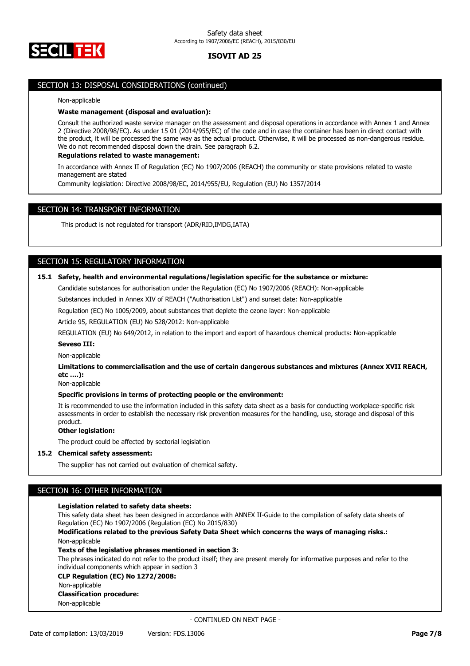

## SECTION 13: DISPOSAL CONSIDERATIONS (continued)

# Non-applicable

# **Waste management (disposal and evaluation):**

Consult the authorized waste service manager on the assessment and disposal operations in accordance with Annex 1 and Annex 2 (Directive 2008/98/EC). As under 15 01 (2014/955/EC) of the code and in case the container has been in direct contact with the product, it will be processed the same way as the actual product. Otherwise, it will be processed as non-dangerous residue. We do not recommended disposal down the drain. See paragraph 6.2.

### **Regulations related to waste management:**

In accordance with Annex II of Regulation (EC) No 1907/2006 (REACH) the community or state provisions related to waste management are stated

Community legislation: Directive 2008/98/EC, 2014/955/EU, Regulation (EU) No 1357/2014

# SECTION 14: TRANSPORT INFORMATION

This product is not regulated for transport (ADR/RID,IMDG,IATA)

# SECTION 15: REGULATORY INFORMATION

# **15.1 Safety, health and environmental regulations/legislation specific for the substance or mixture:**

Candidate substances for authorisation under the Regulation (EC) No 1907/2006 (REACH): Non-applicable

Substances included in Annex XIV of REACH ("Authorisation List") and sunset date: Non-applicable

Regulation (EC) No 1005/2009, about substances that deplete the ozone layer: Non-applicable

Article 95, REGULATION (EU) No 528/2012: Non-applicable

REGULATION (EU) No 649/2012, in relation to the import and export of hazardous chemical products: Non-applicable

### **Seveso III:**

Non-applicable

**Limitations to commercialisation and the use of certain dangerous substances and mixtures (Annex XVII REACH, etc ….):**

Non-applicable

### **Specific provisions in terms of protecting people or the environment:**

It is recommended to use the information included in this safety data sheet as a basis for conducting workplace-specific risk assessments in order to establish the necessary risk prevention measures for the handling, use, storage and disposal of this product.

## **Other legislation:**

The product could be affected by sectorial legislation

# **15.2 Chemical safety assessment:**

The supplier has not carried out evaluation of chemical safety.

# SECTION 16: OTHER INFORMATION

### **Legislation related to safety data sheets:**

This safety data sheet has been designed in accordance with ANNEX II-Guide to the compilation of safety data sheets of Regulation (EC) No 1907/2006 (Regulation (EC) No 2015/830)

**Modifications related to the previous Safety Data Sheet which concerns the ways of managing risks.:** Non-applicable

### **Texts of the legislative phrases mentioned in section 3:**

The phrases indicated do not refer to the product itself; they are present merely for informative purposes and refer to the individual components which appear in section 3

## **CLP Regulation (EC) No 1272/2008:**

Non-applicable

#### **Classification procedure:**

Non-applicable